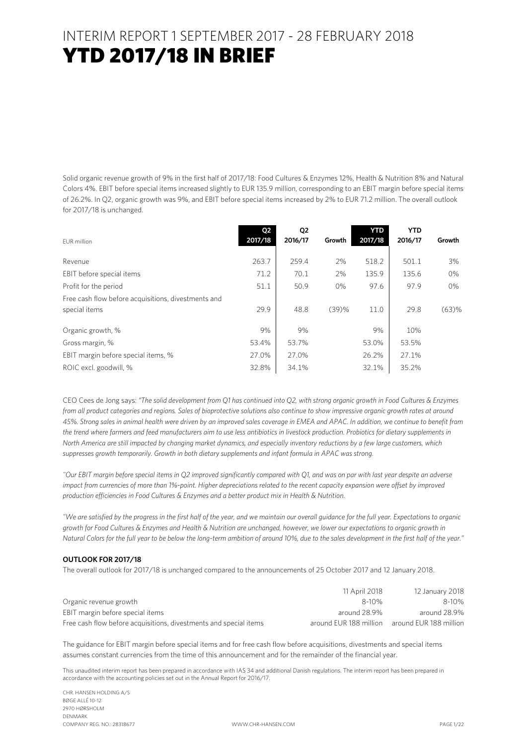Solid organic revenue growth of 9% in the first half of 2017/18: Food Cultures & Enzymes 12%, Health & Nutrition 8% and Natural Colors 4%. EBIT before special items increased slightly to EUR 135.9 million, corresponding to an EBIT margin before special items of 26.2%. In Q2, organic growth was 9%, and EBIT before special items increased by 2% to EUR 71.2 million. The overall outlook for 2017/18 is unchanged.

| EUR million                                                          | Q2<br>2017/18 | Q2<br>2016/17 | Growth | <b>YTD</b><br>2017/18 | <b>YTD</b><br>2016/17 | Growth   |
|----------------------------------------------------------------------|---------------|---------------|--------|-----------------------|-----------------------|----------|
| Revenue                                                              | 263.7         | 259.4         | 2%     | 518.2                 | 501.1                 | 3%       |
| EBIT before special items                                            | 71.2          | 70.1          | 2%     | 135.9                 | 135.6                 | 0%       |
| Profit for the period                                                | 51.1          | 50.9          | 0%     | 97.6                  | 97.9                  | 0%       |
| Free cash flow before acquisitions, divestments and<br>special items | 29.9          | 48.8          | (39)%  | 11.0                  | 29.8                  | $(63)$ % |
| Organic growth, %                                                    | 9%            | 9%            |        | 9%                    | 10%                   |          |
| Gross margin, %                                                      | 53.4%         | 53.7%         |        | 53.0%                 | 53.5%                 |          |
| EBIT margin before special items, %                                  | 27.0%         | 27.0%         |        | 26.2%                 | 27.1%                 |          |
| ROIC excl. goodwill, %                                               | 32.8%         | 34.1%         |        | 32.1%                 | 35.2%                 |          |

CEO Cees de Jong says: *"The solid development from Q1 has continued into Q2, with strong organic growth in Food Cultures & Enzymes from all product categories and regions. Sales of bioprotective solutions also continue to show impressive organic growth rates at around 45%. Strong sales in animal health were driven by an improved sales coverage in EMEA and APAC. In addition, we continue to benefit from the trend where farmers and feed manufacturers aim to use less antibiotics in livestock production. Probiotics for dietary supplements in North America are still impacted by changing market dynamics, and especially inventory reductions by a few large customers, which suppresses growth temporarily. Growth in both dietary supplements and infant formula in APAC was strong.* 

*"Our EBIT margin before special items in Q2 improved significantly compared with Q1, and was on par with last year despite an adverse impact from currencies of more than 1%-point. Higher depreciations related to the recent capacity expansion were offset by improved production efficiencies in Food Cultures & Enzymes and a better product mix in Health & Nutrition.* 

*"We are satisfied by the progress in the first half of the year, and we maintain our overall guidance for the full year. Expectations to organic growth for Food Cultures & Enzymes and Health & Nutrition are unchanged, however, we lower our expectations to organic growth in Natural Colors for the full year to be below the long-term ambition of around 10%, due to the sales development in the first half of the year."* 

#### **OUTLOOK FOR 2017/18**

The overall outlook for 2017/18 is unchanged compared to the announcements of 25 October 2017 and 12 January 2018.

|                                                                   | 11 April 2018          | 12 January 2018        |
|-------------------------------------------------------------------|------------------------|------------------------|
| Organic revenue growth                                            | $8 - 10%$              | $8 - 10%$              |
| EBIT margin before special items                                  | around 28.9%           | around 28.9%           |
| Free cash flow before acquisitions, divestments and special items | around EUR 188 million | around EUR 188 million |

The guidance for EBIT margin before special items and for free cash flow before acquisitions, divestments and special items assumes constant currencies from the time of this announcement and for the remainder of the financial year.

This unaudited interim report has been prepared in accordance with IAS 34 and additional Danish regulations. The interim report has been prepared in accordance with the accounting policies set out in the Annual Report for 2016/17.

CHR. HANSEN HOLDING A/S BØGE ALLÉ 10-12 2970 HØRSHOLM DENMARK COMPANY REG. NO.: 28318677 WWW.CHR-HANSEN.COM PAGE 1/22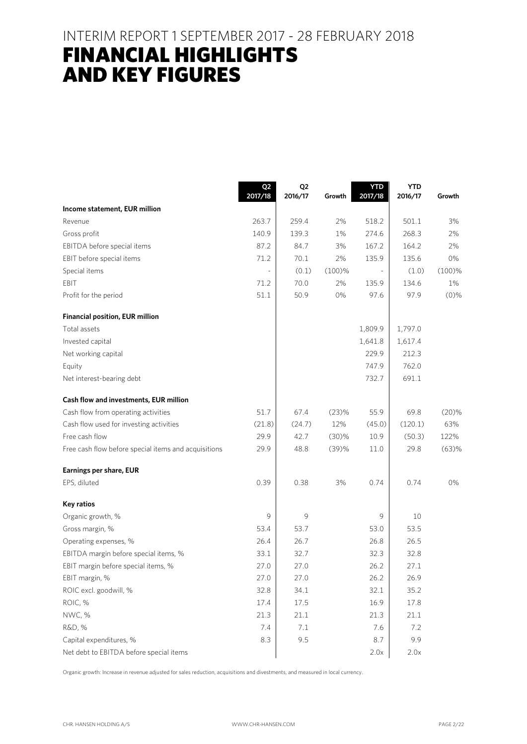### INTERIM REPORT 1 SEPTEMBER 2017 - 28 FEBRUARY 2018

## FINANCIAL HIGHLIGHTS AND KEY FIGURES

|                                                      | Q <sub>2</sub><br>2017/18 | Q <sub>2</sub><br>2016/17 | Growth | <b>YTD</b><br>2017/18 | <b>YTD</b><br>2016/17 | Growth  |
|------------------------------------------------------|---------------------------|---------------------------|--------|-----------------------|-----------------------|---------|
| Income statement, EUR million                        |                           |                           |        |                       |                       |         |
| Revenue                                              | 263.7                     | 259.4                     | 2%     | 518.2                 | 501.1                 | 3%      |
| Gross profit                                         | 140.9                     | 139.3                     | 1%     | 274.6                 | 268.3                 | 2%      |
| EBITDA before special items                          | 87.2                      | 84.7                      | 3%     | 167.2                 | 164.2                 | 2%      |
| EBIT before special items                            | 71.2                      | 70.1                      | 2%     | 135.9                 | 135.6                 | 0%      |
| Special items                                        |                           | (0.1)                     | (100)% |                       | (1.0)                 | (100)%  |
| EBIT                                                 | 71.2                      | 70.0                      | 2%     | 135.9                 | 134.6                 | 1%      |
| Profit for the period                                | 51.1                      | 50.9                      | 0%     | 97.6                  | 97.9                  | $(0)\%$ |
| <b>Financial position, EUR million</b>               |                           |                           |        |                       |                       |         |
| Total assets                                         |                           |                           |        | 1,809.9               | 1,797.0               |         |
| Invested capital                                     |                           |                           |        | 1,641.8               | 1,617.4               |         |
| Net working capital                                  |                           |                           |        | 229.9                 | 212.3                 |         |
| Equity                                               |                           |                           |        | 747.9                 | 762.0                 |         |
| Net interest-bearing debt                            |                           |                           |        | 732.7                 | 691.1                 |         |
| Cash flow and investments, EUR million               |                           |                           |        |                       |                       |         |
| Cash flow from operating activities                  | 51.7                      | 67.4                      | (23)%  | 55.9                  | 69.8                  | (20)%   |
| Cash flow used for investing activities              | (21.8)                    | (24.7)                    | 12%    | (45.0)                | (120.1)               | 63%     |
| Free cash flow                                       | 29.9                      | 42.7                      | (30)%  | 10.9                  | (50.3)                | 122%    |
| Free cash flow before special items and acquisitions | 29.9                      | 48.8                      | (39)%  | 11.0                  | 29.8                  | (63)%   |
| Earnings per share, EUR                              |                           |                           |        |                       |                       |         |
| EPS, diluted                                         | 0.39                      | 0.38                      | 3%     | 0.74                  | 0.74                  | 0%      |
| Key ratios                                           |                           |                           |        |                       |                       |         |
| Organic growth, %                                    | 9                         | 9                         |        | 9                     | 10                    |         |
| Gross margin, %                                      | 53.4                      | 53.7                      |        | 53.0                  | 53.5                  |         |
| Operating expenses, %                                | 26.4                      | 26.7                      |        | 26.8                  | 26.5                  |         |
| EBITDA margin before special items, %                | 33.1                      | 32.7                      |        | 32.3                  | 32.8                  |         |
| EBIT margin before special items, %                  | 27.0                      | 27.0                      |        | 26.2                  | 27.1                  |         |
| EBIT margin, %                                       | 27.0                      | 27.0                      |        | 26.2                  | 26.9                  |         |
| ROIC excl. goodwill, %                               | 32.8                      | 34.1                      |        | 32.1                  | 35.2                  |         |
| ROIC, %                                              | 17.4                      | 17.5                      |        | 16.9                  | 17.8                  |         |
| NWC, %                                               | 21.3                      | 21.1                      |        | 21.3                  | 21.1                  |         |
| R&D, %                                               | 7.4                       | 7.1                       |        | 7.6                   | 7.2                   |         |
| Capital expenditures, %                              | 8.3                       | 9.5                       |        | 8.7                   | 9.9                   |         |
| Net debt to EBITDA before special items              |                           |                           |        | 2.0x                  | 2.0x                  |         |

Organic growth: Increase in revenue adjusted for sales reduction, acquisitions and divestments, and measured in local currency.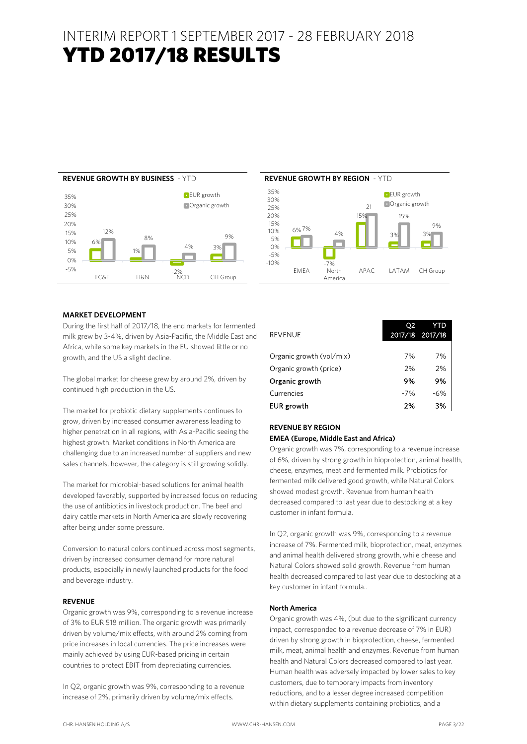



#### **MARKET DEVELOPMENT**

During the first half of 2017/18, the end markets for fermented milk grew by 3-4%, driven by Asia-Pacific, the Middle East and Africa, while some key markets in the EU showed little or no growth, and the US a slight decline.

The global market for cheese grew by around 2%, driven by continued high production in the US.

The market for probiotic dietary supplements continues to grow, driven by increased consumer awareness leading to higher penetration in all regions, with Asia-Pacific seeing the highest growth. Market conditions in North America are challenging due to an increased number of suppliers and new sales channels, however, the category is still growing solidly.

The market for microbial-based solutions for animal health developed favorably, supported by increased focus on reducing the use of antibiotics in livestock production. The beef and dairy cattle markets in North America are slowly recovering after being under some pressure.

Conversion to natural colors continued across most segments, driven by increased consumer demand for more natural products, especially in newly launched products for the food and beverage industry.

#### **REVENUE**

Organic growth was 9%, corresponding to a revenue increase of 3% to EUR 518 million. The organic growth was primarily driven by volume/mix effects, with around 2% coming from price increases in local currencies. The price increases were mainly achieved by using EUR-based pricing in certain countries to protect EBIT from depreciating currencies.

In Q2, organic growth was 9%, corresponding to a revenue increase of 2%, primarily driven by volume/mix effects.

| <b>REVENUE</b>           | 02<br>2017/18 2017/18 | YTD   |
|--------------------------|-----------------------|-------|
| Organic growth (vol/mix) | 7%                    | 7%    |
| Organic growth (price)   | 2%                    | 2%    |
| Organic growth           | 9%                    | 9%    |
| Currencies               | $-7%$                 | $-6%$ |
| <b>EUR growth</b>        | 2%                    | 3%    |

### **REVENUE BY REGION**

#### **EMEA (Europe, Middle East and Africa)**

Organic growth was 7%, corresponding to a revenue increase of 6%, driven by strong growth in bioprotection, animal health, cheese, enzymes, meat and fermented milk. Probiotics for fermented milk delivered good growth, while Natural Colors showed modest growth. Revenue from human health decreased compared to last year due to destocking at a key customer in infant formula.

In Q2, organic growth was 9%, corresponding to a revenue increase of 7%. Fermented milk, bioprotection, meat, enzymes and animal health delivered strong growth, while cheese and Natural Colors showed solid growth. Revenue from human health decreased compared to last year due to destocking at a key customer in infant formula..

#### **North America**

Organic growth was 4%, (but due to the significant currency impact, corresponded to a revenue decrease of 7% in EUR) driven by strong growth in bioprotection, cheese, fermented milk, meat, animal health and enzymes. Revenue from human health and Natural Colors decreased compared to last year. Human health was adversely impacted by lower sales to key customers, due to temporary impacts from inventory reductions, and to a lesser degree increased competition within dietary supplements containing probiotics, and a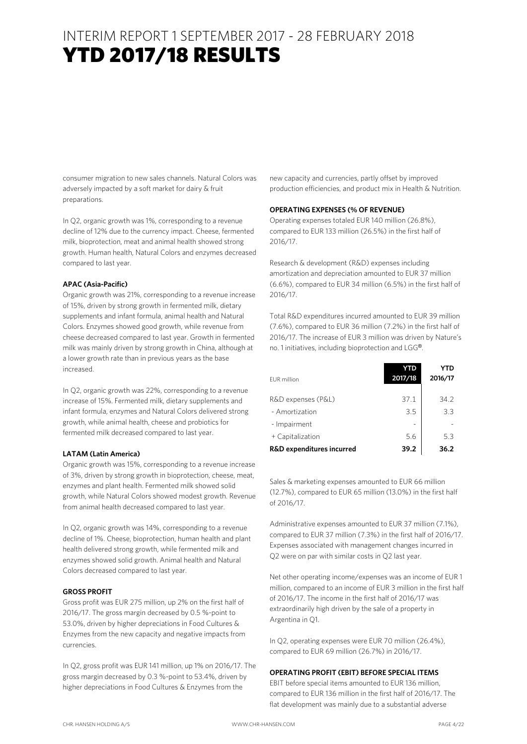consumer migration to new sales channels. Natural Colors was adversely impacted by a soft market for dairy & fruit preparations.

In Q2, organic growth was 1%, corresponding to a revenue decline of 12% due to the currency impact. Cheese, fermented milk, bioprotection, meat and animal health showed strong growth. Human health, Natural Colors and enzymes decreased compared to last year.

#### **APAC (Asia-Pacific)**

Organic growth was 21%, corresponding to a revenue increase of 15%, driven by strong growth in fermented milk, dietary supplements and infant formula, animal health and Natural Colors. Enzymes showed good growth, while revenue from cheese decreased compared to last year. Growth in fermented milk was mainly driven by strong growth in China, although at a lower growth rate than in previous years as the base increased.

In Q2, organic growth was 22%, corresponding to a revenue increase of 15%. Fermented milk, dietary supplements and infant formula, enzymes and Natural Colors delivered strong growth, while animal health, cheese and probiotics for fermented milk decreased compared to last year.

#### **LATAM (Latin America)**

Organic growth was 15%, corresponding to a revenue increase of 3%, driven by strong growth in bioprotection, cheese, meat, enzymes and plant health. Fermented milk showed solid growth, while Natural Colors showed modest growth. Revenue from animal health decreased compared to last year.

In Q2, organic growth was 14%, corresponding to a revenue decline of 1%. Cheese, bioprotection, human health and plant health delivered strong growth, while fermented milk and enzymes showed solid growth. Animal health and Natural Colors decreased compared to last year.

#### **GROSS PROFIT**

Gross profit was EUR 275 million, up 2% on the first half of 2016/17. The gross margin decreased by 0.5 %-point to 53.0%, driven by higher depreciations in Food Cultures & Enzymes from the new capacity and negative impacts from currencies.

In Q2, gross profit was EUR 141 million, up 1% on 2016/17. The gross margin decreased by 0.3 %-point to 53.4%, driven by higher depreciations in Food Cultures & Enzymes from the

new capacity and currencies, partly offset by improved production efficiencies, and product mix in Health & Nutrition.

#### **OPERATING EXPENSES (% OF REVENUE)**

Operating expenses totaled EUR 140 million (26.8%), compared to EUR 133 million (26.5%) in the first half of 2016/17.

Research & development (R&D) expenses including amortization and depreciation amounted to EUR 37 million (6.6%), compared to EUR 34 million (6.5%) in the first half of 2016/17.

Total R&D expenditures incurred amounted to EUR 39 million (7.6%), compared to EUR 36 million (7.2%) in the first half of 2016/17. The increase of EUR 3 million was driven by Nature's no. 1 initiatives, including bioprotection and LGG®.

| <b>EUR</b> million                   | YTD<br>2017/18 | YTD<br>2016/17 |
|--------------------------------------|----------------|----------------|
| R&D expenses (P&L)                   | 37.1           | 34.2           |
| - Amortization                       | 3.5            | 3.3            |
| - Impairment                         |                |                |
| + Capitalization                     | 5.6            | 5.3            |
| <b>R&amp;D</b> expenditures incurred | 39.2           | 36.2           |

Sales & marketing expenses amounted to EUR 66 million (12.7%), compared to EUR 65 million (13.0%) in the first half of 2016/17.

Administrative expenses amounted to EUR 37 million (7.1%), compared to EUR 37 million (7.3%) in the first half of 2016/17. Expenses associated with management changes incurred in Q2 were on par with similar costs in Q2 last year.

Net other operating income/expenses was an income of EUR 1 million, compared to an income of EUR 3 million in the first half of 2016/17. The income in the first half of 2016/17 was extraordinarily high driven by the sale of a property in Argentina in Q1.

In Q2, operating expenses were EUR 70 million (26.4%), compared to EUR 69 million (26.7%) in 2016/17.

#### **OPERATING PROFIT (EBIT) BEFORE SPECIAL ITEMS**

EBIT before special items amounted to EUR 136 million, compared to EUR 136 million in the first half of 2016/17. The flat development was mainly due to a substantial adverse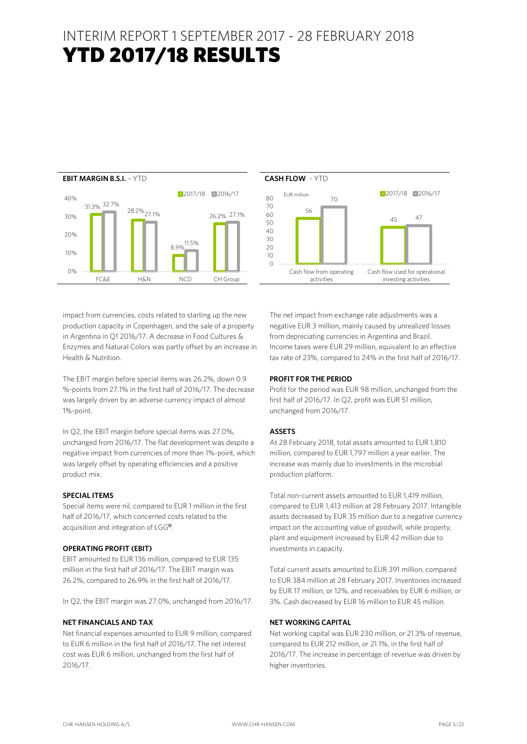

impact from currencies, costs related to starting up the new production capacity in Copenhagen, and the sale of a property in Argentina in Q1 2016/17. A decrease in Food Cultures & Enzymes and Natural Colors was partly offset by an increase in Health & Nutrition.

The EBIT margin before special items was 26.2%, down 0.9 %-points from 27.1% in the first half of 2016/17. The decrease was largely driven by an adverse currency impact of almost 1%-point.

In Q2, the EBIT margin before special items was 27.0%, unchanged from 2016/17. The flat development was despite a negative impact from currencies of more than 1%-point, which was largely offset by operating efficiencies and a positive product mix.

#### **SPECIAL ITEMS**

Special items were nil, compared to EUR 1 million in the first half of 2016/17, which concerned costs related to the acquisition and integration of LGG®.

#### **OPERATING PROFIT (EBIT)**

EBIT amounted to EUR 136 million, compared to EUR 135 million in the first half of 2016/17. The EBIT margin was 26.2%, compared to 26.9% in the first half of 2016/17.

In Q2, the EBIT margin was 27.0%, unchanged from 2016/17.

#### **NET FINANCIALS AND TAX**

Net financial expenses amounted to EUR 9 million, compared to EUR 6 million in the first half of 2016/17. The net interest cost was EUR 6 million, unchanged from the first half of 2016/17.



The net impact from exchange rate adjustments was a negative EUR 3 million, mainly caused by unrealized losses from depreciating currencies in Argentina and Brazil. Income taxes were EUR 29 million, equivalent to an effective tax rate of 23%, compared to 24% in the first half of 2016/17.

#### **PROFIT FOR THE PERIOD**

Profit for the period was EUR 98 million, unchanged from the first half of 2016/17. In Q2, profit was EUR 51 million, unchanged from 2016/17.

#### **ASSETS**

At 28 February 2018, total assets amounted to EUR 1,810 million, compared to EUR 1,797 million a year earlier. The increase was mainly due to investments in the microbial production platform.

Total non-current assets amounted to EUR 1,419 million, compared to EUR 1,413 million at 28 February 2017. Intangible assets decreased by EUR 35 million due to a negative currency impact on the accounting value of goodwill, while property, plant and equipment increased by EUR 42 million due to investments in capacity.

Total current assets amounted to EUR 391 million, compared to EUR 384 million at 28 February 2017. Inventories increased by EUR 17 million, or 12%, and receivables by EUR 6 million, or 3%. Cash decreased by EUR 16 million to EUR 45 million.

#### **NET WORKING CAPITAL**

Net working capital was EUR 230 million, or 21.3% of revenue, compared to EUR 212 million, or 21.1%, in the first half of 2016/17. The increase in percentage of revenue was driven by higher inventories.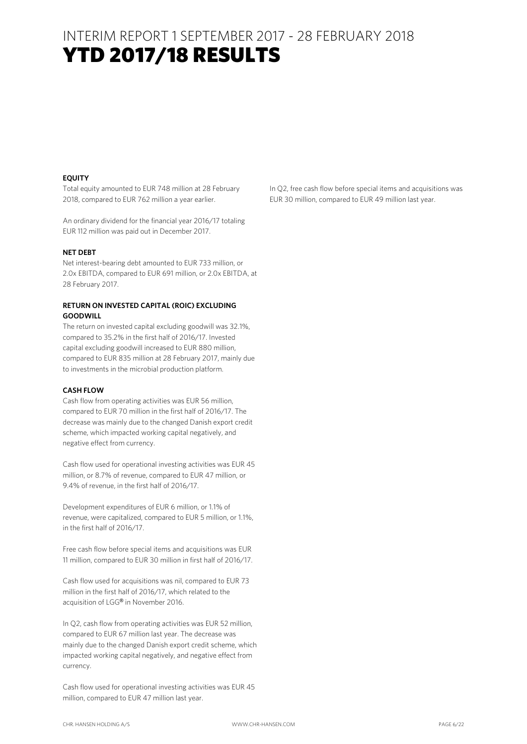### **EQUITY**

Total equity amounted to EUR 748 million at 28 February 2018, compared to EUR 762 million a year earlier.

An ordinary dividend for the financial year 2016/17 totaling EUR 112 million was paid out in December 2017.

#### **NET DEBT**

Net interest-bearing debt amounted to EUR 733 million, or 2.0x EBITDA, compared to EUR 691 million, or 2.0x EBITDA, at 28 February 2017.

### **RETURN ON INVESTED CAPITAL (ROIC) EXCLUDING GOODWILL**

The return on invested capital excluding goodwill was 32.1%, compared to 35.2% in the first half of 2016/17. Invested capital excluding goodwill increased to EUR 880 million, compared to EUR 835 million at 28 February 2017, mainly due to investments in the microbial production platform.

#### **CASH FLOW**

Cash flow from operating activities was EUR 56 million, compared to EUR 70 million in the first half of 2016/17. The decrease was mainly due to the changed Danish export credit scheme, which impacted working capital negatively, and negative effect from currency.

Cash flow used for operational investing activities was EUR 45 million, or 8.7% of revenue, compared to EUR 47 million, or 9.4% of revenue, in the first half of 2016/17.

Development expenditures of EUR 6 million, or 1.1% of revenue, were capitalized, compared to EUR 5 million, or 1.1%, in the first half of 2016/17.

Free cash flow before special items and acquisitions was EUR 11 million, compared to EUR 30 million in first half of 2016/17.

Cash flow used for acquisitions was nil, compared to EUR 73 million in the first half of 2016/17, which related to the acquisition of LGG® in November 2016.

In Q2, cash flow from operating activities was EUR 52 million, compared to EUR 67 million last year. The decrease was mainly due to the changed Danish export credit scheme, which impacted working capital negatively, and negative effect from currency.

Cash flow used for operational investing activities was EUR 45 million, compared to EUR 47 million last year.

In Q2, free cash flow before special items and acquisitions was EUR 30 million, compared to EUR 49 million last year.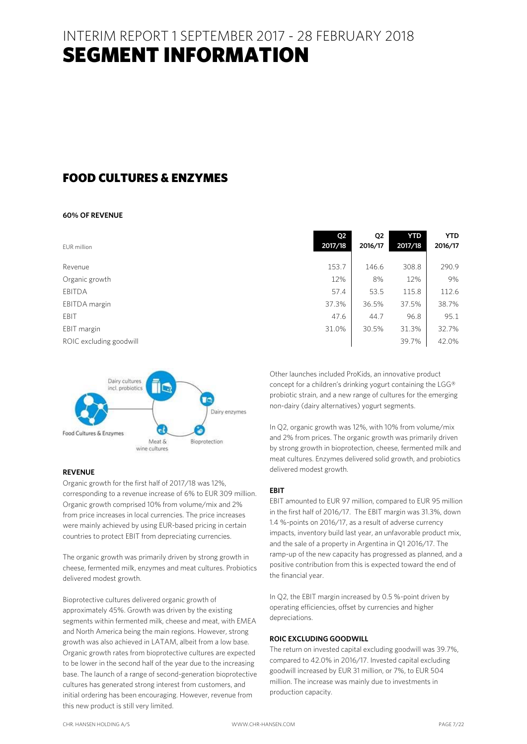## INTERIM REPORT 1 SEPTEMBER 2017 - 28 FEBRUARY 2018 SEGMENT INFORMATION

### FOOD CULTURES & ENZYMES

#### **60% OF REVENUE**

| EUR million             | Q <sub>2</sub><br>2017/18 | Q2<br>2016/17 | <b>YTD</b><br>2017/18 | <b>YTD</b><br>2016/17 |
|-------------------------|---------------------------|---------------|-----------------------|-----------------------|
| Revenue                 | 153.7                     | 146.6         | 308.8                 | 290.9                 |
| Organic growth          | 12%                       | 8%            | 12%                   | 9%                    |
| <b>EBITDA</b>           | 57.4                      | 53.5          | 115.8                 | 112.6                 |
| EBITDA margin           | 37.3%                     | 36.5%         | 37.5%                 | 38.7%                 |
| EBIT                    | 47.6                      | 44.7          | 96.8                  | 95.1                  |
| EBIT margin             | 31.0%                     | 30.5%         | 31.3%                 | 32.7%                 |
| ROIC excluding goodwill |                           |               | 39.7%                 | 42.0%                 |



#### **REVENUE**

Organic growth for the first half of 2017/18 was 12%, corresponding to a revenue increase of 6% to EUR 309 million. Organic growth comprised 10% from volume/mix and 2% from price increases in local currencies. The price increases were mainly achieved by using EUR-based pricing in certain countries to protect EBIT from depreciating currencies.

The organic growth was primarily driven by strong growth in cheese, fermented milk, enzymes and meat cultures. Probiotics delivered modest growth.

Bioprotective cultures delivered organic growth of approximately 45%. Growth was driven by the existing segments within fermented milk, cheese and meat, with EMEA and North America being the main regions. However, strong growth was also achieved in LATAM, albeit from a low base. Organic growth rates from bioprotective cultures are expected to be lower in the second half of the year due to the increasing base. The launch of a range of second-generation bioprotective cultures has generated strong interest from customers, and initial ordering has been encouraging. However, revenue from this new product is still very limited.

Other launches included ProKids, an innovative product concept for a children's drinking yogurt containing the LGG® probiotic strain, and a new range of cultures for the emerging non-dairy (dairy alternatives) yogurt segments.

In Q2, organic growth was 12%, with 10% from volume/mix and 2% from prices. The organic growth was primarily driven by strong growth in bioprotection, cheese, fermented milk and meat cultures. Enzymes delivered solid growth, and probiotics delivered modest growth.

#### **EBIT**

EBIT amounted to EUR 97 million, compared to EUR 95 million in the first half of 2016/17. The EBIT margin was 31.3%, down 1.4 %-points on 2016/17, as a result of adverse currency impacts, inventory build last year, an unfavorable product mix, and the sale of a property in Argentina in Q1 2016/17. The ramp-up of the new capacity has progressed as planned, and a positive contribution from this is expected toward the end of the financial year.

In Q2, the EBIT margin increased by 0.5 %-point driven by operating efficiencies, offset by currencies and higher depreciations.

### **ROIC EXCLUDING GOODWILL**

The return on invested capital excluding goodwill was 39.7%, compared to 42.0% in 2016/17. Invested capital excluding goodwill increased by EUR 31 million, or 7%, to EUR 504 million. The increase was mainly due to investments in production capacity.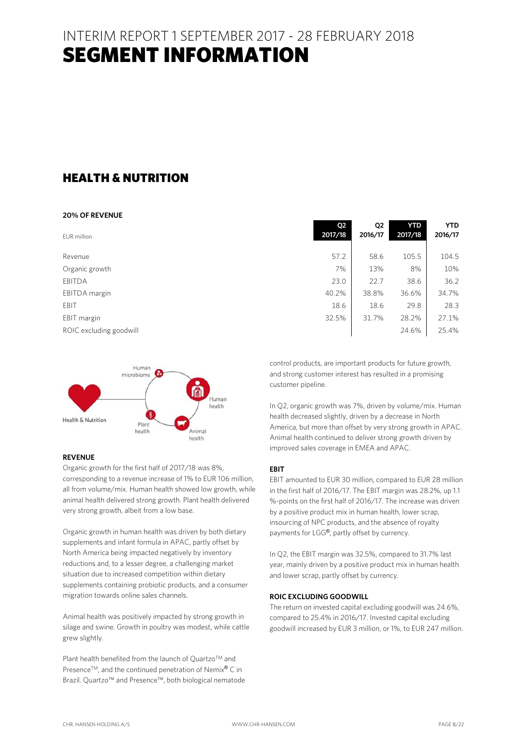## INTERIM REPORT 1 SEPTEMBER 2017 - 28 FEBRUARY 2018 SEGMENT INFORMATION

### HEALTH & NUTRITION

#### **20% OF REVENUE**

| EUR million             | Q2<br>2017/18 | Q <sub>2</sub><br>2016/17 | <b>YTD</b><br>2017/18 | <b>YTD</b><br>2016/17 |
|-------------------------|---------------|---------------------------|-----------------------|-----------------------|
| Revenue                 | 57.2          | 58.6                      | 105.5                 | 104.5                 |
| Organic growth          | 7%            | 13%                       | 8%                    | 10%                   |
| <b>EBITDA</b>           | 23.0          | 22.7                      | 38.6                  | 36.2                  |
| EBITDA margin           | 40.2%         | 38.8%                     | 36.6%                 | 34.7%                 |
| EBIT                    | 18.6          | 18.6                      | 29.8                  | 28.3                  |
| EBIT margin             | 32.5%         | 31.7%                     | 28.2%                 | 27.1%                 |
| ROIC excluding goodwill |               |                           | 24.6%                 | 25.4%                 |



#### **REVENUE**

Organic growth for the first half of 2017/18 was 8%, corresponding to a revenue increase of 1% to EUR 106 million, all from volume/mix. Human health showed low growth, while animal health delivered strong growth. Plant health delivered very strong growth, albeit from a low base.

Organic growth in human health was driven by both dietary supplements and infant formula in APAC, partly offset by North America being impacted negatively by inventory reductions and, to a lesser degree, a challenging market situation due to increased competition within dietary supplements containing probiotic products, and a consumer migration towards online sales channels.

Animal health was positively impacted by strong growth in silage and swine. Growth in poultry was modest, while cattle grew slightly.

Plant health benefited from the launch of Quartzo™ and Presence™, and the continued penetration of Nemix® C in Brazil. Quartzo™ and Presence™, both biological nematode

| 104.5 | 105.5 | 58.6  | 57.2  |  |
|-------|-------|-------|-------|--|
| 10%   | 8%    | 13%   | 7%    |  |
| 36.2  | 38.6  | 22.7  | 23.0  |  |
| 34.7% | 36.6% | 38.8% | 40.2% |  |
| 28.3  | 29.8  | 18.6  | 18.6  |  |
| 27.1% | 28.2% | 31.7% | 32.5% |  |
| 25.4% | 24.6% |       |       |  |
|       |       |       |       |  |

control products, are important products for future growth, and strong customer interest has resulted in a promising customer pipeline.

In Q2, organic growth was 7%, driven by volume/mix. Human health decreased slightly, driven by a decrease in North America, but more than offset by very strong growth in APAC. Animal health continued to deliver strong growth driven by improved sales coverage in EMEA and APAC.

#### **EBIT**

EBIT amounted to EUR 30 million, compared to EUR 28 million in the first half of 2016/17. The EBIT margin was 28.2%, up 1.1 %-points on the first half of 2016/17. The increase was driven by a positive product mix in human health, lower scrap, insourcing of NPC products, and the absence of royalty payments for LGG®, partly offset by currency.

In Q2, the EBIT margin was 32.5%, compared to 31.7% last year, mainly driven by a positive product mix in human health and lower scrap, partly offset by currency.

#### **ROIC EXCLUDING GOODWILL**

The return on invested capital excluding goodwill was 24.6%, compared to 25.4% in 2016/17. Invested capital excluding goodwill increased by EUR 3 million, or 1%, to EUR 247 million.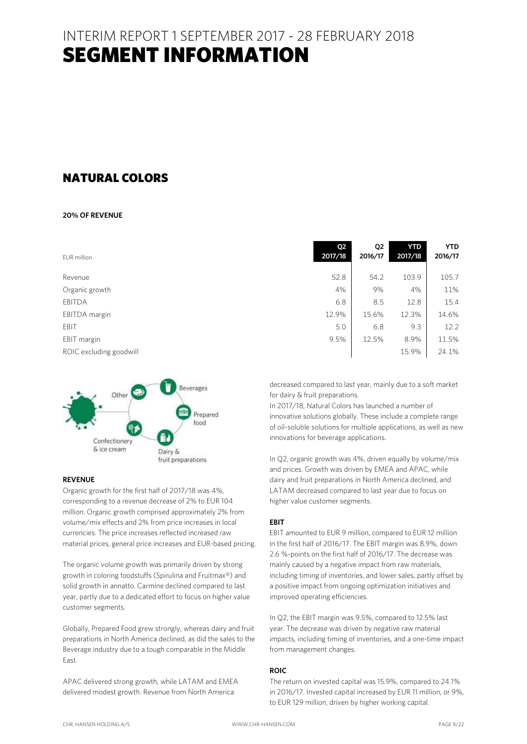## INTERIM REPORT 1 SEPTEMBER 2017 - 28 FEBRUARY 2018 SEGMENT INFORMATION

### NATURAL COLORS

#### **20% OF REVENUE**

| EUR million             | Q2<br>2017/18 | Q <sub>2</sub><br>2016/17 | <b>YTD</b><br>2017/18 | <b>YTD</b><br>2016/17 |
|-------------------------|---------------|---------------------------|-----------------------|-----------------------|
| Revenue                 | 52.8          | 54.2                      | 103.9                 | 105.7                 |
| Organic growth          | 4%            | 9%                        | 4%                    | 11%                   |
| <b>EBITDA</b>           | 6.8           | 8.5                       | 12.8                  | 15.4                  |
| EBITDA margin           | 12.9%         | 15.6%                     | 12.3%                 | 14.6%                 |
| EBIT                    | 5.0           | 6.8                       | 9.3                   | 12.2                  |
| EBIT margin             | 9.5%          | 12.5%                     | 8.9%                  | 11.5%                 |
| ROIC excluding goodwill |               |                           | 15.9%                 | 24.1%                 |



#### **REVENUE**

Organic growth for the first half of 2017/18 was 4%, corresponding to a revenue decrease of 2% to EUR 104 million. Organic growth comprised approximately 2% from volume/mix effects and 2% from price increases in local currencies. The price increases reflected increased raw material prices, general price increases and EUR-based pricing.

The organic volume growth was primarily driven by strong growth in coloring foodstuffs (Spirulina and Fruitmax®) and solid growth in annatto. Carmine declined compared to last year, partly due to a dedicated effort to focus on higher value customer segments.

Globally, Prepared Food grew strongly, whereas dairy and fruit preparations in North America declined, as did the sales to the Beverage industry due to a tough comparable in the Middle East.

APAC delivered strong growth, while LATAM and EMEA delivered modest growth. Revenue from North America

decreased compared to last year, mainly due to a soft market for dairy & fruit preparations.

In 2017/18, Natural Colors has launched a number of innovative solutions globally. These include a complete range of oil-soluble solutions for multiple applications, as well as new innovations for beverage applications.

In Q2, organic growth was 4%, driven equally by volume/mix and prices. Growth was driven by EMEA and APAC, while dairy and fruit preparations in North America declined, and LATAM decreased compared to last year due to focus on higher value customer segments.

#### **EBIT**

EBIT amounted to EUR 9 million, compared to EUR 12 million in the first half of 2016/17. The EBIT margin was 8.9%, down 2.6 %-points on the first half of 2016/17. The decrease was mainly caused by a negative impact from raw materials, including timing of inventories, and lower sales, partly offset by a positive impact from ongoing optimization initiatives and improved operating efficiencies.

In Q2, the EBIT margin was 9.5%, compared to 12.5% last year. The decrease was driven by negative raw material impacts, including timing of inventories, and a one-time impact from management changes.

#### **ROIC**

The return on invested capital was 15.9%, compared to 24.1% in 2016/17. Invested capital increased by EUR 11 million, or 9%, to EUR 129 million, driven by higher working capital.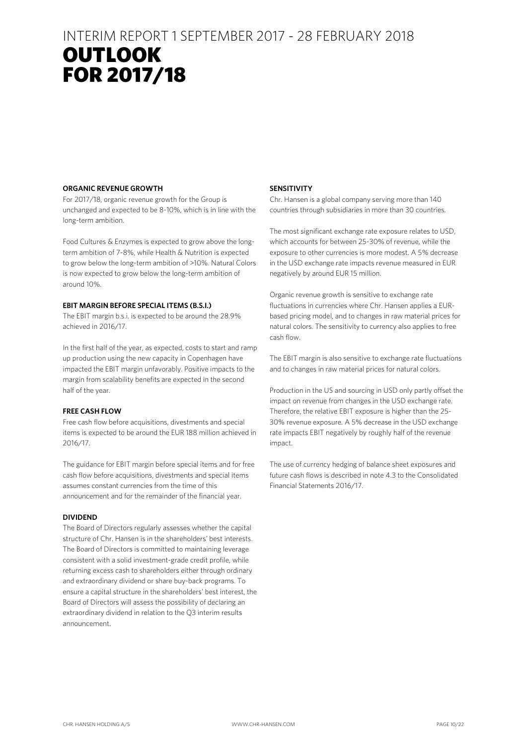## INTERIM REPORT 1 SEPTEMBER 2017 - 28 FEBRUARY 2018 OUTLOOK **RESULTS** FOR 2017/18

#### **ORGANIC REVENUE GROWTH**

For 2017/18, organic revenue growth for the Group is unchanged and expected to be 8-10%, which is in line with the long-term ambition.

Food Cultures & Enzymes is expected to grow above the longterm ambition of 7-8%, while Health & Nutrition is expected to grow below the long-term ambition of >10%. Natural Colors is now expected to grow below the long-term ambition of around 10%.

#### **EBIT MARGIN BEFORE SPECIAL ITEMS (B.S.I.)**

The EBIT margin b.s.i. is expected to be around the 28.9% achieved in 2016/17.

In the first half of the year, as expected, costs to start and ramp up production using the new capacity in Copenhagen have impacted the EBIT margin unfavorably. Positive impacts to the margin from scalability benefits are expected in the second half of the year.

#### **FREE CASH FLOW**

Free cash flow before acquisitions, divestments and special items is expected to be around the EUR 188 million achieved in 2016/17.

The guidance for EBIT margin before special items and for free cash flow before acquisitions, divestments and special items assumes constant currencies from the time of this announcement and for the remainder of the financial year.

#### **DIVIDEND**

The Board of Directors regularly assesses whether the capital structure of Chr. Hansen is in the shareholders' best interests. The Board of Directors is committed to maintaining leverage consistent with a solid investment-grade credit profile, while returning excess cash to shareholders either through ordinary and extraordinary dividend or share buy-back programs. To ensure a capital structure in the shareholders' best interest, the Board of Directors will assess the possibility of declaring an extraordinary dividend in relation to the Q3 interim results announcement.

#### **SENSITIVITY**

Chr. Hansen is a global company serving more than 140 countries through subsidiaries in more than 30 countries.

The most significant exchange rate exposure relates to USD, which accounts for between 25-30% of revenue, while the exposure to other currencies is more modest. A 5% decrease in the USD exchange rate impacts revenue measured in EUR negatively by around EUR 15 million.

Organic revenue growth is sensitive to exchange rate fluctuations in currencies where Chr. Hansen applies a EURbased pricing model, and to changes in raw material prices for natural colors. The sensitivity to currency also applies to free cash flow.

The EBIT margin is also sensitive to exchange rate fluctuations and to changes in raw material prices for natural colors.

Production in the US and sourcing in USD only partly offset the impact on revenue from changes in the USD exchange rate. Therefore, the relative EBIT exposure is higher than the 25- 30% revenue exposure. A 5% decrease in the USD exchange rate impacts EBIT negatively by roughly half of the revenue impact.

The use of currency hedging of balance sheet exposures and future cash flows is described in note 4.3 to the Consolidated Financial Statements 2016/17.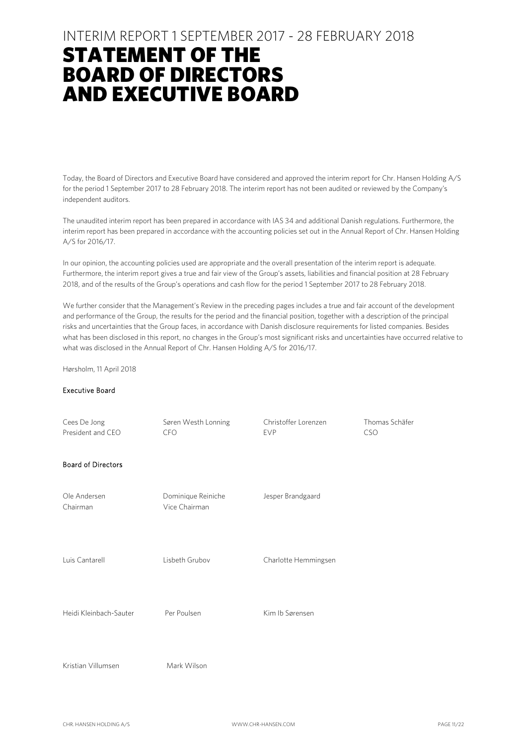### INTERIM REPORT 1 SEPTEMBER 2017 - 28 FEBRUARY 2018

## STATEMENT OF THE BOARD OF DIRECTORS AND EXECUTIVE BOARD

Today, the Board of Directors and Executive Board have considered and approved the interim report for Chr. Hansen Holding A/S for the period 1 September 2017 to 28 February 2018. The interim report has not been audited or reviewed by the Company's independent auditors.

The unaudited interim report has been prepared in accordance with IAS 34 and additional Danish regulations. Furthermore, the interim report has been prepared in accordance with the accounting policies set out in the Annual Report of Chr. Hansen Holding A/S for 2016/17.

In our opinion, the accounting policies used are appropriate and the overall presentation of the interim report is adequate. Furthermore, the interim report gives a true and fair view of the Group's assets, liabilities and financial position at 28 February 2018, and of the results of the Group's operations and cash flow for the period 1 September 2017 to 28 February 2018.

We further consider that the Management's Review in the preceding pages includes a true and fair account of the development and performance of the Group, the results for the period and the financial position, together with a description of the principal risks and uncertainties that the Group faces, in accordance with Danish disclosure requirements for listed companies. Besides what has been disclosed in this report, no changes in the Group's most significant risks and uncertainties have occurred relative to what was disclosed in the Annual Report of Chr. Hansen Holding A/S for 2016/17.

Hørsholm, 11 April 2018

#### Executive Board

| Cees De Jong<br>President and CEO | Søren Westh Lonning<br><b>CFO</b>   | Christoffer Lorenzen<br><b>EVP</b> | Thomas Schäfer<br><b>CSO</b> |
|-----------------------------------|-------------------------------------|------------------------------------|------------------------------|
| <b>Board of Directors</b>         |                                     |                                    |                              |
| Ole Andersen<br>Chairman          | Dominique Reiniche<br>Vice Chairman | Jesper Brandgaard                  |                              |
| Luis Cantarell                    | Lisbeth Grubov                      | Charlotte Hemmingsen               |                              |
| Heidi Kleinbach-Sauter            | Per Poulsen                         | Kim Ib Sørensen                    |                              |
| Kristian Villumsen                | Mark Wilson                         |                                    |                              |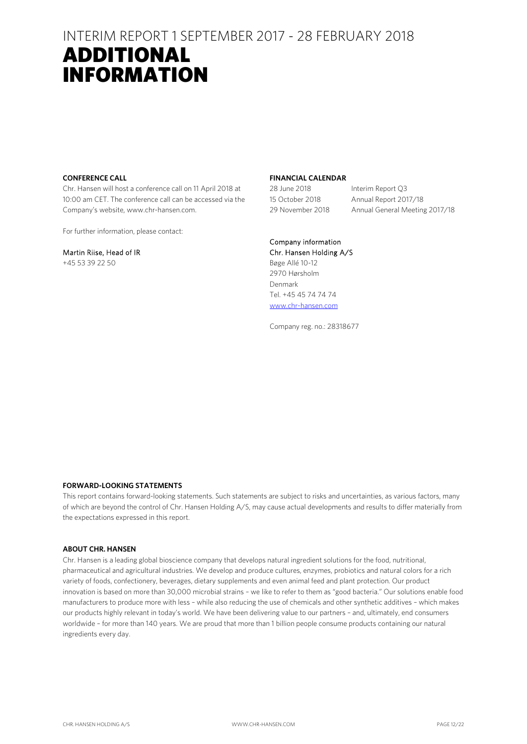### INTERIM REPORT 1 SEPTEMBER 2017 - 28 FEBRUARY 2018 ADDITIONAL INFORMATION

#### **CONFERENCE CALL**

Chr. Hansen will host a conference call on 11 April 2018 at 10:00 am CET. The conference call can be accessed via the Company's website, www.chr-hansen.com.

For further information, please contact:

#### Martin Riise, Head of IR

+45 53 39 22 50

#### **FINANCIAL CALENDAR**

28 June 2018 Interim Report Q3

15 October 2018 Annual Report 2017/18 29 November 2018 Annual General Meeting 2017/18

### Company information

Chr. Hansen Holding A/S Bøge Allé 10-12 2970 Hørsholm Denmark Tel. +45 45 74 74 74 www.chr-hansen.com

Company reg. no.: 28318677

#### **FORWARD-LOOKING STATEMENTS**

This report contains forward-looking statements. Such statements are subject to risks and uncertainties, as various factors, many of which are beyond the control of Chr. Hansen Holding A/S, may cause actual developments and results to differ materially from the expectations expressed in this report.

#### **ABOUT CHR. HANSEN**

Chr. Hansen is a leading global bioscience company that develops natural ingredient solutions for the food, nutritional, pharmaceutical and agricultural industries. We develop and produce cultures, enzymes, probiotics and natural colors for a rich variety of foods, confectionery, beverages, dietary supplements and even animal feed and plant protection. Our product innovation is based on more than 30,000 microbial strains – we like to refer to them as "good bacteria." Our solutions enable food manufacturers to produce more with less – while also reducing the use of chemicals and other synthetic additives – which makes our products highly relevant in today's world. We have been delivering value to our partners – and, ultimately, end consumers worldwide – for more than 140 years. We are proud that more than 1 billion people consume products containing our natural ingredients every day.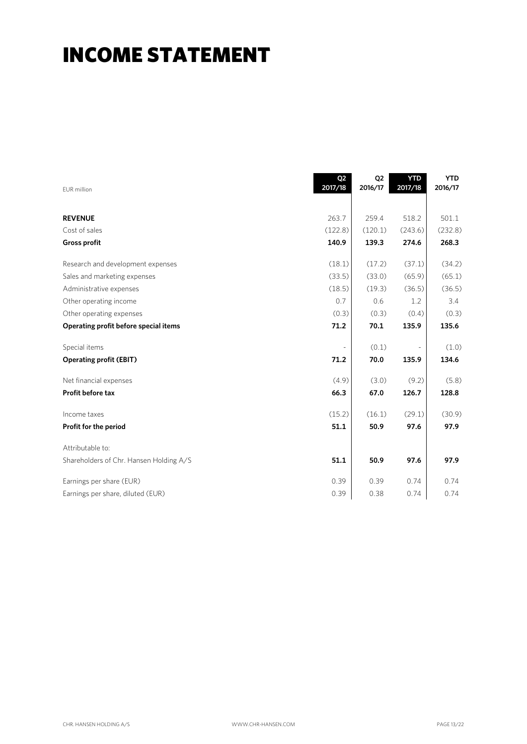## INCOME STATEMENT

| EUR million                             | Q <sub>2</sub><br>2017/18 | Q <sub>2</sub><br>2016/17 | <b>YTD</b><br>2017/18 | <b>YTD</b><br>2016/17 |
|-----------------------------------------|---------------------------|---------------------------|-----------------------|-----------------------|
| <b>REVENUE</b>                          | 263.7                     | 259.4                     | 518.2                 | 501.1                 |
| Cost of sales                           | (122.8)                   | (120.1)                   | (243.6)               | (232.8)               |
| <b>Gross profit</b>                     | 140.9                     | 139.3                     | 274.6                 | 268.3                 |
| Research and development expenses       | (18.1)                    | (17.2)                    | (37.1)                | (34.2)                |
| Sales and marketing expenses            | (33.5)                    | (33.0)                    | (65.9)                | (65.1)                |
| Administrative expenses                 | (18.5)                    | (19.3)                    | (36.5)                | (36.5)                |
| Other operating income                  | 0.7                       | 0.6                       | 1.2                   | 3.4                   |
| Other operating expenses                | (0.3)                     | (0.3)                     | (0.4)                 | (0.3)                 |
| Operating profit before special items   | 71.2                      | 70.1                      | 135.9                 | 135.6                 |
| Special items                           |                           | (0.1)                     |                       | (1.0)                 |
| <b>Operating profit (EBIT)</b>          | 71.2                      | 70.0                      | 135.9                 | 134.6                 |
| Net financial expenses                  | (4.9)                     | (3.0)                     | (9.2)                 | (5.8)                 |
| Profit before tax                       | 66.3                      | 67.0                      | 126.7                 | 128.8                 |
| Income taxes                            | (15.2)                    | (16.1)                    | (29.1)                | (30.9)                |
| Profit for the period                   | 51.1                      | 50.9                      | 97.6                  | 97.9                  |
| Attributable to:                        |                           |                           |                       |                       |
| Shareholders of Chr. Hansen Holding A/S | 51.1                      | 50.9                      | 97.6                  | 97.9                  |
| Earnings per share (EUR)                | 0.39                      | 0.39                      | 0.74                  | 0.74                  |
| Earnings per share, diluted (EUR)       | 0.39                      | 0.38                      | 0.74                  | 0.74                  |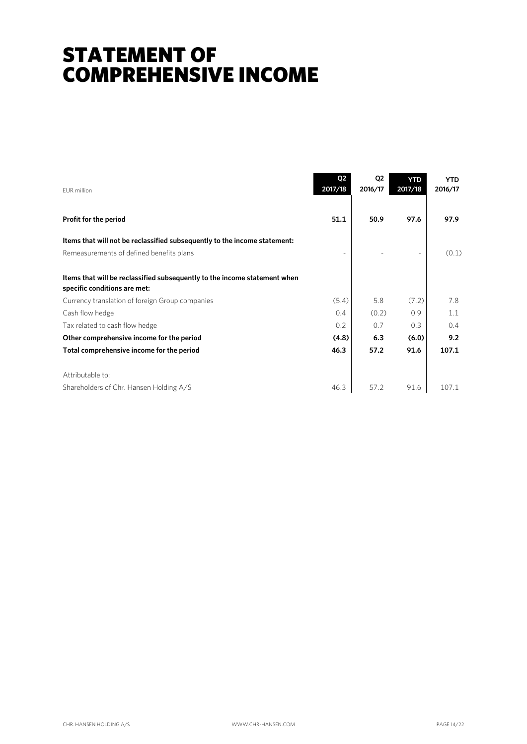## STATEMENT OF COMPREHENSIVE INCOME

| FUR million                                                                                               | Q <sub>2</sub><br>2017/18 | Q <sub>2</sub><br>2016/17 | <b>YTD</b><br>2017/18 | <b>YTD</b><br>2016/17 |
|-----------------------------------------------------------------------------------------------------------|---------------------------|---------------------------|-----------------------|-----------------------|
| Profit for the period                                                                                     | 51.1                      | 50.9                      | 97.6                  | 97.9                  |
| Items that will not be reclassified subsequently to the income statement:                                 |                           |                           |                       |                       |
| Remeasurements of defined benefits plans                                                                  |                           |                           |                       | (0.1)                 |
| Items that will be reclassified subsequently to the income statement when<br>specific conditions are met: |                           |                           |                       |                       |
| Currency translation of foreign Group companies                                                           | (5.4)                     | 5.8                       | (7.2)                 | 7.8                   |
| Cash flow hedge                                                                                           | 0.4                       | (0.2)                     | 0.9                   | 1.1                   |
| Tax related to cash flow hedge                                                                            | 0.2                       | 0.7                       | 0.3                   | 0.4                   |
| Other comprehensive income for the period                                                                 | (4.8)                     | 6.3                       | (6.0)                 | 9.2                   |
| Total comprehensive income for the period                                                                 | 46.3                      | 57.2                      | 91.6                  | 107.1                 |
| Attributable to:                                                                                          |                           |                           |                       |                       |
| Shareholders of Chr. Hansen Holding A/S                                                                   | 46.3                      | 57.2                      | 91.6                  | 107.1                 |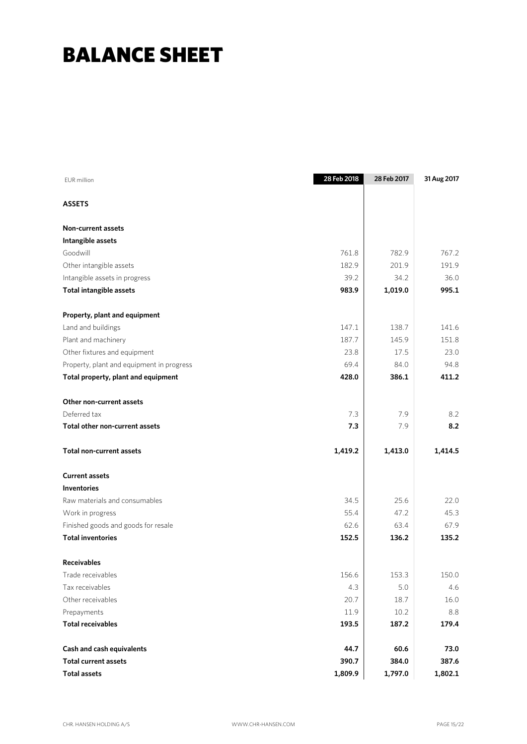## BALANCE SHEET

| <b>EUR</b> million                        | 28 Feb 2018 | 28 Feb 2017 | 31 Aug 2017 |
|-------------------------------------------|-------------|-------------|-------------|
| <b>ASSETS</b>                             |             |             |             |
| <b>Non-current assets</b>                 |             |             |             |
| Intangible assets                         |             |             |             |
| Goodwill                                  | 761.8       | 782.9       | 767.2       |
| Other intangible assets                   | 182.9       | 201.9       | 191.9       |
| Intangible assets in progress             | 39.2        | 34.2        | 36.0        |
| Total intangible assets                   | 983.9       | 1,019.0     | 995.1       |
| Property, plant and equipment             |             |             |             |
| Land and buildings                        | 147.1       | 138.7       | 141.6       |
| Plant and machinery                       | 187.7       | 145.9       | 151.8       |
| Other fixtures and equipment              | 23.8        | 17.5        | 23.0        |
| Property, plant and equipment in progress | 69.4        | 84.0        | 94.8        |
| Total property, plant and equipment       | 428.0       | 386.1       | 411.2       |
| Other non-current assets                  |             |             |             |
| Deferred tax                              | 7.3         | 7.9         | 8.2         |
| Total other non-current assets            | 7.3         | 7.9         | 8.2         |
| <b>Total non-current assets</b>           | 1,419.2     | 1,413.0     | 1,414.5     |
| <b>Current assets</b>                     |             |             |             |
| <b>Inventories</b>                        |             |             |             |
| Raw materials and consumables             | 34.5        | 25.6        | 22.0        |
| Work in progress                          | 55.4        | 47.2        | 45.3        |
| Finished goods and goods for resale       | 62.6        | 63.4        | 67.9        |
| <b>Total inventories</b>                  | 152.5       | 136.2       | 135.2       |
| <b>Receivables</b>                        |             |             |             |
| Trade receivables                         | 156.6       | 153.3       | 150.0       |
| Tax receivables                           | 4.3         | 5.0         | 4.6         |
| Other receivables                         | 20.7        | 18.7        | 16.0        |
| Prepayments                               | 11.9        | 10.2        | 8.8         |
| <b>Total receivables</b>                  | 193.5       | 187.2       | 179.4       |
| Cash and cash equivalents                 | 44.7        | 60.6        | 73.0        |
| <b>Total current assets</b>               | 390.7       | 384.0       | 387.6       |
| <b>Total assets</b>                       | 1,809.9     | 1,797.0     | 1,802.1     |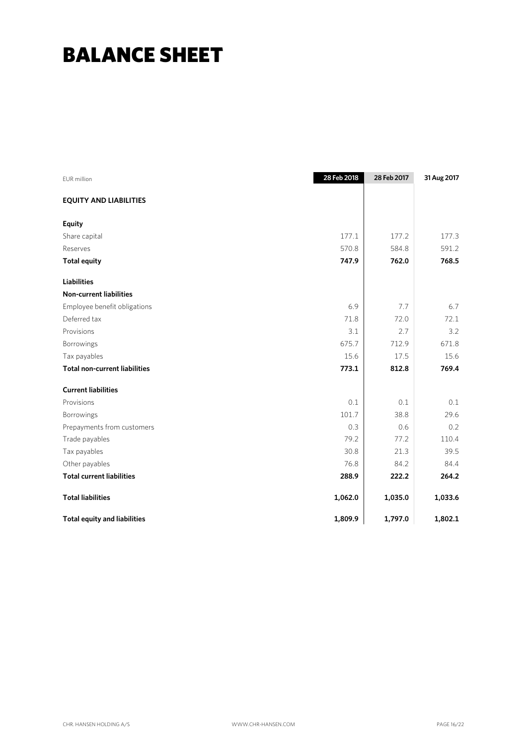## BALANCE SHEET

| EUR million                          | 28 Feb 2018 | 28 Feb 2017 | 31 Aug 2017 |
|--------------------------------------|-------------|-------------|-------------|
| <b>EQUITY AND LIABILITIES</b>        |             |             |             |
| <b>Equity</b>                        |             |             |             |
| Share capital                        | 177.1       | 177.2       | 177.3       |
| Reserves                             | 570.8       | 584.8       | 591.2       |
| <b>Total equity</b>                  | 747.9       | 762.0       | 768.5       |
| <b>Liabilities</b>                   |             |             |             |
| <b>Non-current liabilities</b>       |             |             |             |
| Employee benefit obligations         | 6.9         | 7.7         | 6.7         |
| Deferred tax                         | 71.8        | 72.0        | 72.1        |
| Provisions                           | 3.1         | 2.7         | 3.2         |
| Borrowings                           | 675.7       | 712.9       | 671.8       |
| Tax payables                         | 15.6        | 17.5        | 15.6        |
| <b>Total non-current liabilities</b> | 773.1       | 812.8       | 769.4       |
| <b>Current liabilities</b>           |             |             |             |
| Provisions                           | 0.1         | 0.1         | 0.1         |
| Borrowings                           | 101.7       | 38.8        | 29.6        |
| Prepayments from customers           | 0.3         | 0.6         | 0.2         |
| Trade payables                       | 79.2        | 77.2        | 110.4       |
| Tax payables                         | 30.8        | 21.3        | 39.5        |
| Other payables                       | 76.8        | 84.2        | 84.4        |
| <b>Total current liabilities</b>     | 288.9       | 222.2       | 264.2       |
| <b>Total liabilities</b>             | 1,062.0     | 1,035.0     | 1,033.6     |
| <b>Total equity and liabilities</b>  | 1,809.9     | 1,797.0     | 1,802.1     |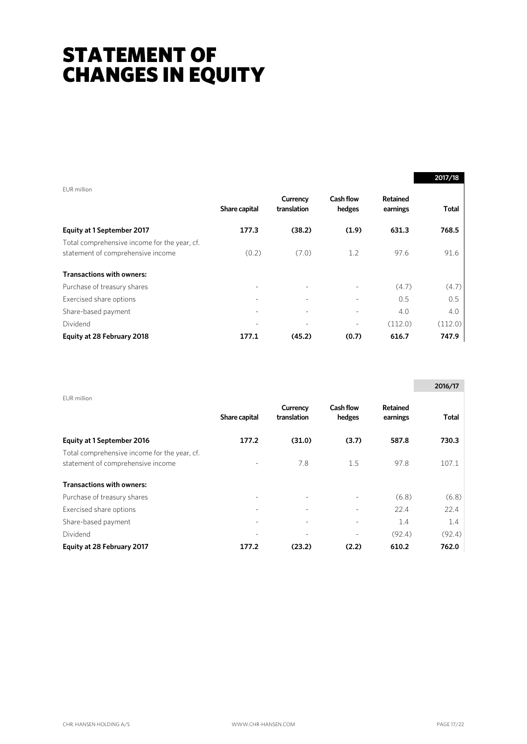## STATEMENT OF CHANGES IN EQUITY

|                                              |                          |                          |                            |                      | 2017/18 |
|----------------------------------------------|--------------------------|--------------------------|----------------------------|----------------------|---------|
| FUR million                                  | Share capital            | Currency<br>translation  | <b>Cash flow</b><br>hedges | Retained<br>earnings | Total   |
| <b>Equity at 1 September 2017</b>            | 177.3                    | (38.2)                   | (1.9)                      | 631.3                | 768.5   |
| Total comprehensive income for the year, cf. |                          |                          |                            |                      |         |
| statement of comprehensive income            | (0.2)                    | (7.0)                    | 1.2                        | 97.6                 | 91.6    |
| <b>Transactions with owners:</b>             |                          |                          |                            |                      |         |
| Purchase of treasury shares                  | ۰                        | $\overline{a}$           |                            | (4.7)                | (4.7)   |
| Exercised share options                      | ۰                        | $\overline{\phantom{0}}$ |                            | 0.5                  | 0.5     |
| Share-based payment                          | $\overline{\phantom{0}}$ |                          |                            | 4.0                  | 4.0     |
| Dividend                                     | $\overline{\phantom{0}}$ | -                        | $\overline{\phantom{a}}$   | (112.0)              | (112.0) |
| Equity at 28 February 2018                   | 177.1                    | (45.2)                   | (0.7)                      | 616.7                | 747.9   |

|                                                                                   |                          |                          |                            |                      | 2016/17 |
|-----------------------------------------------------------------------------------|--------------------------|--------------------------|----------------------------|----------------------|---------|
| EUR million                                                                       | Share capital            | Currency<br>translation  | <b>Cash flow</b><br>hedges | Retained<br>earnings | Total   |
| Equity at 1 September 2016                                                        | 177.2                    | (31.0)                   | (3.7)                      | 587.8                | 730.3   |
| Total comprehensive income for the year, cf.<br>statement of comprehensive income |                          | 7.8                      | 1.5                        | 97.8                 | 107.1   |
| <b>Transactions with owners:</b>                                                  |                          |                          |                            |                      |         |
| Purchase of treasury shares                                                       | $\overline{\phantom{a}}$ |                          |                            | (6.8)                | (6.8)   |
| Exercised share options                                                           | $\overline{\phantom{a}}$ | $\overline{\phantom{0}}$ |                            | 22.4                 | 22.4    |
| Share-based payment                                                               | ٠                        |                          |                            | 1.4                  | 1.4     |
| Dividend                                                                          |                          |                          |                            | (92.4)               | (92.4)  |
| Equity at 28 February 2017                                                        | 177.2                    | (23.2)                   | (2.2)                      | 610.2                | 762.0   |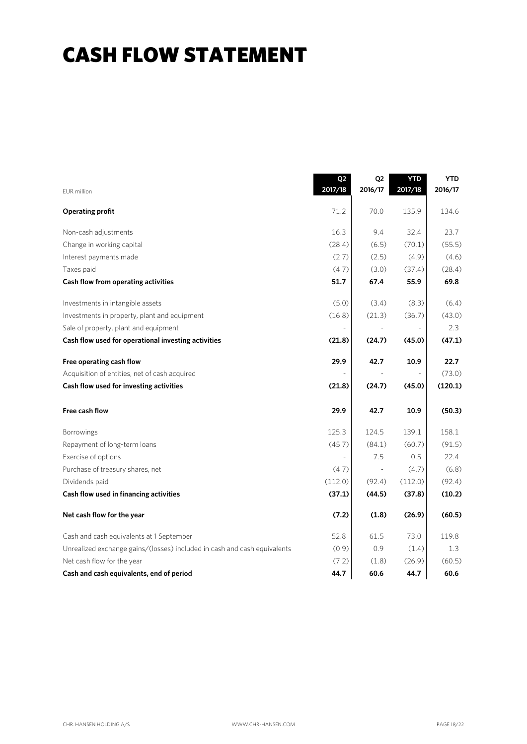## CASH FLOW STATEMENT

| EUR million                                                              | Q <sub>2</sub><br>2017/18 | Q <sub>2</sub><br>2016/17 | <b>YTD</b><br>2017/18 | <b>YTD</b><br>2016/17 |
|--------------------------------------------------------------------------|---------------------------|---------------------------|-----------------------|-----------------------|
| <b>Operating profit</b>                                                  | 71.2                      | 70.0                      | 135.9                 | 134.6                 |
| Non-cash adjustments                                                     | 16.3                      | 9.4                       | 32.4                  | 23.7                  |
| Change in working capital                                                | (28.4)                    | (6.5)                     | (70.1)                | (55.5)                |
| Interest payments made                                                   | (2.7)                     | (2.5)                     | (4.9)                 | (4.6)                 |
| Taxes paid                                                               | (4.7)                     | (3.0)                     | (37.4)                | (28.4)                |
| Cash flow from operating activities                                      | 51.7                      | 67.4                      | 55.9                  | 69.8                  |
| Investments in intangible assets                                         | (5.0)                     | (3.4)                     | (8.3)                 | (6.4)                 |
| Investments in property, plant and equipment                             | (16.8)                    | (21.3)                    | (36.7)                | (43.0)                |
| Sale of property, plant and equipment                                    | ÷                         |                           |                       | 2.3                   |
| Cash flow used for operational investing activities                      | (21.8)                    | (24.7)                    | (45.0)                | (47.1)                |
| Free operating cash flow                                                 | 29.9                      | 42.7                      | 10.9                  | 22.7                  |
| Acquisition of entities, net of cash acquired                            |                           |                           |                       | (73.0)                |
| Cash flow used for investing activities                                  | (21.8)                    | (24.7)                    | (45.0)                | (120.1)               |
| Free cash flow                                                           | 29.9                      | 42.7                      | 10.9                  | (50.3)                |
| Borrowings                                                               | 125.3                     | 124.5                     | 139.1                 | 158.1                 |
| Repayment of long-term loans                                             | (45.7)                    | (84.1)                    | (60.7)                | (91.5)                |
| Exercise of options                                                      |                           | 7.5                       | 0.5                   | 22.4                  |
| Purchase of treasury shares, net                                         | (4.7)                     |                           | (4.7)                 | (6.8)                 |
| Dividends paid                                                           | (112.0)                   | (92.4)                    | (112.0)               | (92.4)                |
| Cash flow used in financing activities                                   | (37.1)                    | (44.5)                    | (37.8)                | (10.2)                |
| Net cash flow for the year                                               | (7.2)                     | (1.8)                     | (26.9)                | (60.5)                |
| Cash and cash equivalents at 1 September                                 | 52.8                      | 61.5                      | 73.0                  | 119.8                 |
| Unrealized exchange gains/(losses) included in cash and cash equivalents | (0.9)                     | 0.9                       | (1.4)                 | 1.3                   |
| Net cash flow for the year                                               | (7.2)                     | (1.8)                     | (26.9)                | (60.5)                |
| Cash and cash equivalents, end of period                                 | 44.7                      | 60.6                      | 44.7                  | 60.6                  |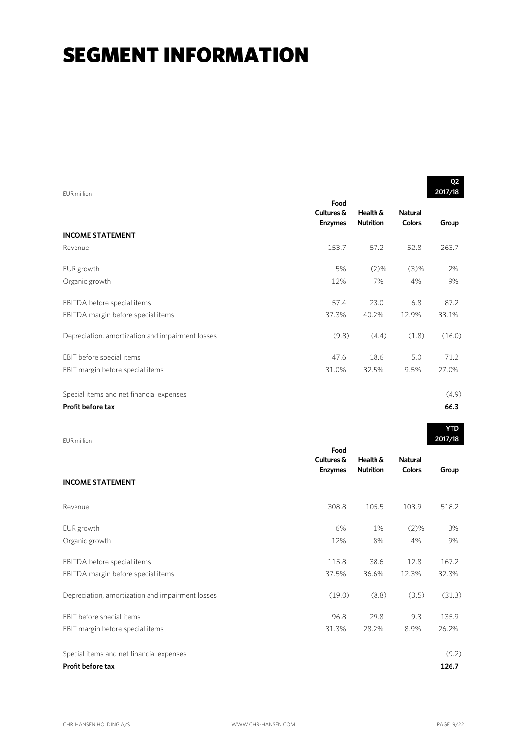| EUR million                                      |                                      |                              |                                 | Q <sub>2</sub><br>2017/18 |
|--------------------------------------------------|--------------------------------------|------------------------------|---------------------------------|---------------------------|
|                                                  | Food<br>Cultures &<br><b>Enzymes</b> | Health &<br><b>Nutrition</b> | <b>Natural</b><br><b>Colors</b> | Group                     |
| <b>INCOME STATEMENT</b>                          |                                      |                              |                                 |                           |
| Revenue                                          | 153.7                                | 57.2                         | 52.8                            | 263.7                     |
| EUR growth                                       | 5%                                   | $(2)\%$                      | (3)%                            | 2%                        |
| Organic growth                                   | 12%                                  | 7%                           | 4%                              | 9%                        |
| EBITDA before special items                      | 57.4                                 | 23.0                         | 6.8                             | 87.2                      |
| EBITDA margin before special items               | 37.3%                                | 40.2%                        | 12.9%                           | 33.1%                     |
| Depreciation, amortization and impairment losses | (9.8)                                | (4.4)                        | (1.8)                           | (16.0)                    |
| EBIT before special items                        | 47.6                                 | 18.6                         | 5.0                             | 71.2                      |
| EBIT margin before special items                 | 31.0%                                | 32.5%                        | 9.5%                            | 27.0%                     |
| Special items and net financial expenses         |                                      |                              |                                 | (4.9)                     |
| <b>Profit before tax</b>                         |                                      |                              |                                 | 66.3                      |

|                                                  | Food<br>Cultures &<br><b>Enzymes</b> | Health &<br><b>Nutrition</b> | <b>Natural</b><br><b>Colors</b> | Group  |
|--------------------------------------------------|--------------------------------------|------------------------------|---------------------------------|--------|
| <b>INCOME STATEMENT</b>                          |                                      |                              |                                 |        |
| Revenue                                          | 308.8                                | 105.5                        | 103.9                           | 518.2  |
| EUR growth                                       | 6%                                   | 1%                           | $(2)\%$                         | 3%     |
| Organic growth                                   | 12%                                  | 8%                           | 4%                              | 9%     |
| EBITDA before special items                      | 115.8                                | 38.6                         | 12.8                            | 167.2  |
| EBITDA margin before special items               | 37.5%                                | 36.6%                        | 12.3%                           | 32.3%  |
| Depreciation, amortization and impairment losses | (19.0)                               | (8.8)                        | (3.5)                           | (31.3) |
| EBIT before special items                        | 96.8                                 | 29.8                         | 9.3                             | 135.9  |
| EBIT margin before special items                 | 31.3%                                | 28.2%                        | 8.9%                            | 26.2%  |
| Special items and net financial expenses         |                                      |                              |                                 | (9.2)  |
| Profit before tax                                |                                      |                              |                                 | 126.7  |

**YTD 2017/18**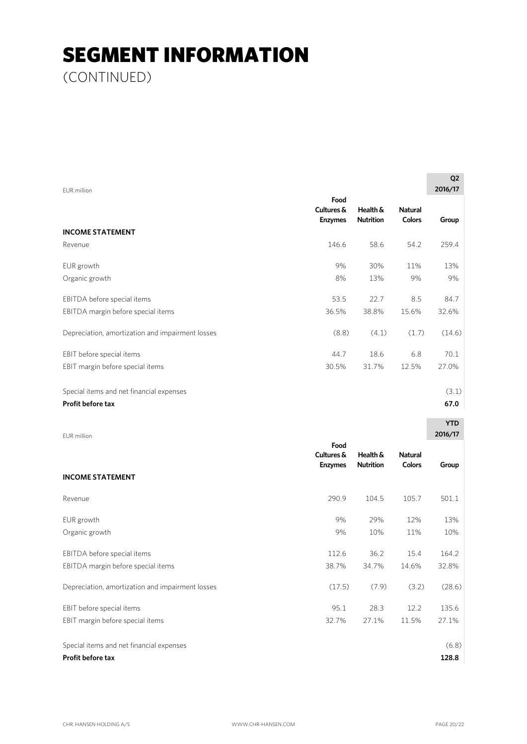(CONTINUED)

| EUR million                                      | Food                         |                              |                                 | Q <sub>2</sub><br>2016/17 |
|--------------------------------------------------|------------------------------|------------------------------|---------------------------------|---------------------------|
|                                                  | Cultures &<br><b>Enzymes</b> | Health &<br><b>Nutrition</b> | <b>Natural</b><br><b>Colors</b> | Group                     |
| <b>INCOME STATEMENT</b>                          |                              |                              |                                 |                           |
| Revenue                                          | 146.6                        | 58.6                         | 54.2                            | 259.4                     |
| EUR growth                                       | 9%                           | 30%                          | 11%                             | 13%                       |
| Organic growth                                   | 8%                           | 13%                          | 9%                              | 9%                        |
| EBITDA before special items                      | 53.5                         | 22.7                         | 8.5                             | 84.7                      |
| EBITDA margin before special items               | 36.5%                        | 38.8%                        | 15.6%                           | 32.6%                     |
| Depreciation, amortization and impairment losses | (8.8)                        | (4.1)                        | (1.7)                           | (14.6)                    |
| EBIT before special items                        | 44.7                         | 18.6                         | 6.8                             | 70.1                      |
| EBIT margin before special items                 | 30.5%                        | 31.7%                        | 12.5%                           | 27.0%                     |
| Special items and net financial expenses         |                              |                              |                                 | (3.1)                     |
| Profit before tax                                |                              |                              |                                 | 67.0                      |
|                                                  |                              |                              |                                 | <b>YTD</b>                |

EUR million

|                                                  | Food<br>Cultures &<br><b>Enzymes</b> | Health &<br><b>Nutrition</b> | <b>Natural</b><br><b>Colors</b> | Group  |
|--------------------------------------------------|--------------------------------------|------------------------------|---------------------------------|--------|
| <b>INCOME STATEMENT</b>                          |                                      |                              |                                 |        |
| Revenue                                          | 290.9                                | 104.5                        | 105.7                           | 501.1  |
| EUR growth                                       | 9%                                   | 29%                          | 12%                             | 13%    |
| Organic growth                                   | 9%                                   | 10%                          | 11%                             | 10%    |
| EBITDA before special items                      | 112.6                                | 36.2                         | 15.4                            | 164.2  |
| EBITDA margin before special items               | 38.7%                                | 34.7%                        | 14.6%                           | 32.8%  |
| Depreciation, amortization and impairment losses | (17.5)                               | (7.9)                        | (3.2)                           | (28.6) |
| EBIT before special items                        | 95.1                                 | 28.3                         | 12.2                            | 135.6  |
| EBIT margin before special items                 | 32.7%                                | 27.1%                        | 11.5%                           | 27.1%  |
| Special items and net financial expenses         |                                      |                              |                                 | (6.8)  |
| <b>Profit before tax</b>                         |                                      |                              |                                 | 128.8  |

**2016/17**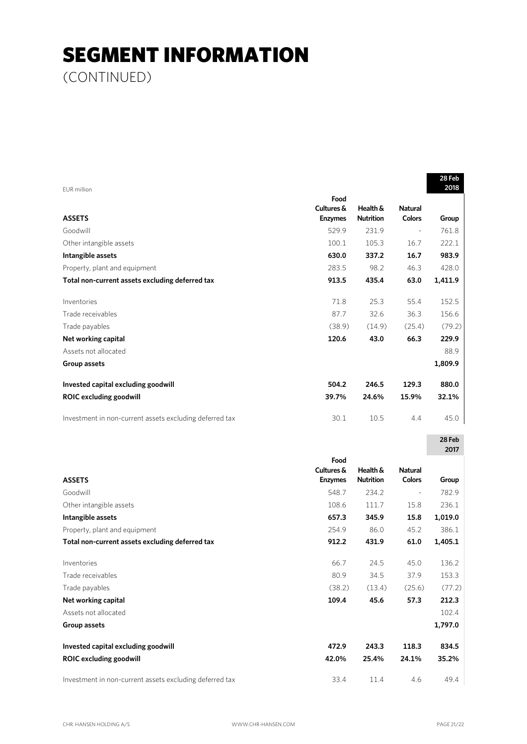(CONTINUED)

| EUR million                                             |                              |                              |                                 | 28 Feb<br>2018 |
|---------------------------------------------------------|------------------------------|------------------------------|---------------------------------|----------------|
|                                                         | Food                         |                              |                                 |                |
| <b>ASSETS</b>                                           | Cultures &<br><b>Enzymes</b> | Health &<br><b>Nutrition</b> | <b>Natural</b><br><b>Colors</b> | Group          |
| Goodwill                                                | 529.9                        | 231.9                        | $\frac{1}{2}$                   | 761.8          |
| Other intangible assets                                 | 100.1                        | 105.3                        | 16.7                            | 222.1          |
| Intangible assets                                       | 630.0                        | 337.2                        | 16.7                            | 983.9          |
| Property, plant and equipment                           | 283.5                        | 98.2                         | 46.3                            | 428.0          |
| Total non-current assets excluding deferred tax         | 913.5                        | 435.4                        | 63.0                            | 1,411.9        |
| Inventories                                             | 71.8                         | 25.3                         | 55.4                            | 152.5          |
| Trade receivables                                       | 87.7                         | 32.6                         | 36.3                            | 156.6          |
| Trade payables                                          | (38.9)                       | (14.9)                       | (25.4)                          | (79.2)         |
| Net working capital                                     | 120.6                        | 43.0                         | 66.3                            | 229.9          |
| Assets not allocated                                    |                              |                              |                                 | 88.9           |
| Group assets                                            |                              |                              |                                 | 1,809.9        |
| Invested capital excluding goodwill                     | 504.2                        | 246.5                        | 129.3                           | 880.0          |
| <b>ROIC excluding goodwill</b>                          | 39.7%                        | 24.6%                        | 15.9%                           | 32.1%          |
| Investment in non-current assets excluding deferred tax | 30.1                         | 10.5                         | 4.4                             | 45.0           |
|                                                         |                              |                              |                                 | 28 Feb<br>2017 |
|                                                         |                              |                              |                                 |                |
|                                                         | Food                         |                              |                                 |                |
|                                                         | Cultures &                   | Health &                     | <b>Natural</b>                  |                |
| <b>ASSETS</b>                                           | <b>Enzymes</b>               | <b>Nutrition</b>             | <b>Colors</b>                   | Group          |
| Goodwill                                                | 548.7                        | 234.2                        | ÷,                              | 782.9          |
| Other intangible assets                                 | 108.6                        | 111.7                        | 15.8                            | 236.1          |
| Intangible assets                                       | 657.3                        | 345.9                        | 15.8                            | 1,019.0        |
| Property, plant and equipment                           | 254.9                        | 86.0                         | 45.2                            | 386.1          |
| Total non-current assets excluding deferred tax         | 912.2                        | 431.9                        | 61.0                            | 1,405.1        |
| Inventories                                             | 66.7                         | 24.5                         | 45.0                            | 136.2          |
| Trade receivables                                       | 80.9                         | 34.5                         | 37.9                            | 153.3          |
| Trade payables                                          | (38.2)                       | (13.4)                       | (25.6)                          | (77.2)         |
| Net working capital                                     | 109.4                        | 45.6                         | 57.3                            | 212.3          |
| Assets not allocated                                    |                              |                              |                                 | 102.4          |
| Group assets                                            |                              |                              |                                 | 1,797.0        |
| Invested capital excluding goodwill                     | 472.9                        | 243.3                        | 118.3                           | 834.5          |
| <b>ROIC excluding goodwill</b>                          | 42.0%                        | 25.4%                        | 24.1%                           | 35.2%          |

**28 Feb**